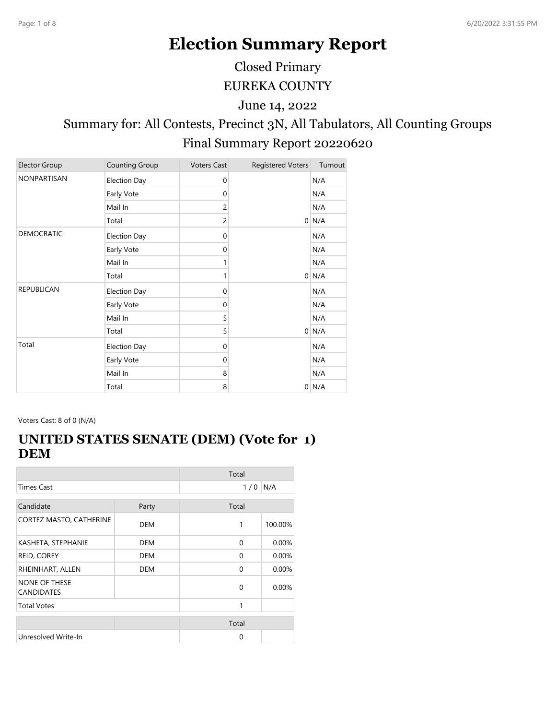# **Election Summary Report**

EUREKA COUNTY Closed Primary

June 14, 2022

# Summary for: All Contests, Precinct 3N, All Tabulators, All Counting Groups Final Summary Report 20220620

| <b>Elector Group</b> | Counting Group      | <b>Voters Cast</b> | <b>Registered Voters</b> | Turnout |
|----------------------|---------------------|--------------------|--------------------------|---------|
| <b>NONPARTISAN</b>   | <b>Election Day</b> | $\mathbf 0$        |                          | N/A     |
|                      | Early Vote          | $\mathbf 0$        |                          | N/A     |
|                      | Mail In             | 2                  |                          | N/A     |
|                      | Total               | $\overline{c}$     |                          | $0$ N/A |
| <b>DEMOCRATIC</b>    | <b>Election Day</b> | $\mathbf 0$        |                          | N/A     |
|                      | Early Vote          | $\mathbf 0$        |                          | N/A     |
|                      | Mail In             | 1                  |                          | N/A     |
|                      | Total               | 1                  |                          | $0$ N/A |
| <b>REPUBLICAN</b>    | <b>Election Day</b> | $\mathbf 0$        |                          | N/A     |
|                      | Early Vote          | $\mathbf 0$        |                          | N/A     |
|                      | Mail In             | 5                  |                          | N/A     |
|                      | Total               | 5                  |                          | $0$ N/A |
| Total                | <b>Election Day</b> | $\mathbf 0$        |                          | N/A     |
|                      | Early Vote          | 0                  |                          | N/A     |
|                      | Mail In             | 8                  |                          | N/A     |
|                      | Total               | 8                  |                          | $0$ N/A |

Voters Cast: 8 of 0 (N/A)

#### **UNITED STATES SENATE (DEM) (Vote for 1) DEM**

|                                           |            | Total    |         |
|-------------------------------------------|------------|----------|---------|
| <b>Times Cast</b>                         |            | 1/0      | N/A     |
| Candidate                                 | Party      | Total    |         |
| CORTEZ MASTO, CATHERINE                   | <b>DEM</b> | 1        | 100.00% |
| KASHETA, STEPHANIE                        | DEM        | $\Omega$ | 0.00%   |
| REID, COREY                               | <b>DEM</b> | $\Omega$ | 0.00%   |
| RHEINHART, ALLEN                          | DEM        | $\Omega$ | 0.00%   |
| <b>NONE OF THESE</b><br><b>CANDIDATES</b> |            | $\Omega$ | 0.00%   |
| <b>Total Votes</b>                        |            | 1        |         |
|                                           |            | Total    |         |
| Unresolved Write-In                       |            | 0        |         |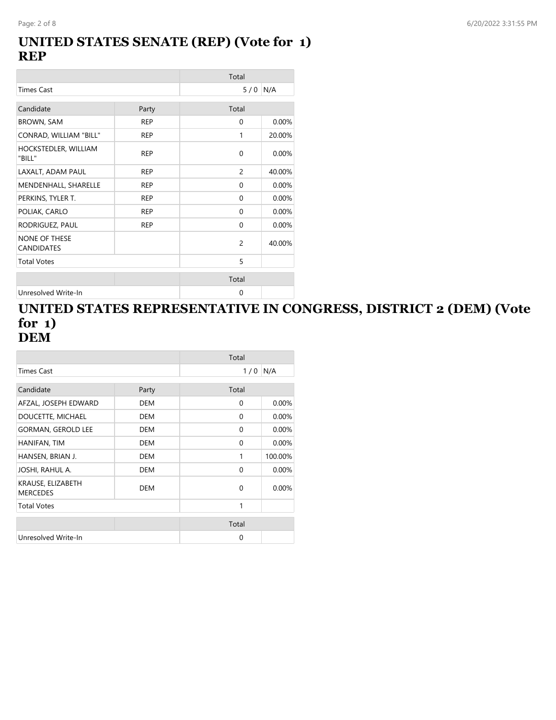#### **UNITED STATES SENATE (REP) (Vote for 1) REP**

|                                           |            | Total          |        |
|-------------------------------------------|------------|----------------|--------|
| <b>Times Cast</b>                         |            | 5/0            | N/A    |
| Candidate                                 | Party      | Total          |        |
| <b>BROWN, SAM</b>                         | <b>REP</b> | $\Omega$       | 0.00%  |
| CONRAD, WILLIAM "BILL"                    | <b>REP</b> | 1              | 20.00% |
| HOCKSTEDLER, WILLIAM<br>"BILL"            | <b>REP</b> | $\Omega$       | 0.00%  |
| LAXALT, ADAM PAUL                         | <b>REP</b> | $\overline{c}$ | 40.00% |
| MENDENHALL, SHARELLE                      | <b>REP</b> | $\Omega$       | 0.00%  |
| PERKINS, TYLER T.                         | <b>REP</b> | $\Omega$       | 0.00%  |
| POLIAK, CARLO                             | <b>REP</b> | $\mathbf{0}$   | 0.00%  |
| RODRIGUEZ, PAUL                           | <b>REP</b> | $\mathbf{0}$   | 0.00%  |
| <b>NONE OF THESE</b><br><b>CANDIDATES</b> |            | $\overline{2}$ | 40.00% |
| <b>Total Votes</b>                        |            | 5              |        |
|                                           |            | Total          |        |
| Unresolved Write-In                       |            | 0              |        |

#### **UNITED STATES REPRESENTATIVE IN CONGRESS, DISTRICT 2 (DEM) (Vote for 1) DEM**

|                                      |            | Total    |          |
|--------------------------------------|------------|----------|----------|
| Times Cast                           |            | 1/0      | N/A      |
|                                      |            |          |          |
| Candidate                            | Party      | Total    |          |
| AFZAL, JOSEPH EDWARD                 | <b>DEM</b> | 0        | 0.00%    |
| DOUCETTE, MICHAEL                    | <b>DEM</b> | $\Omega$ | $0.00\%$ |
| <b>GORMAN, GEROLD LEE</b>            | <b>DEM</b> | $\Omega$ | 0.00%    |
| HANIFAN, TIM                         | <b>DEM</b> | $\Omega$ | 0.00%    |
| HANSEN, BRIAN J.                     | <b>DEM</b> | 1        | 100.00%  |
| JOSHI, RAHUL A.                      | DEM        | $\Omega$ | 0.00%    |
| KRAUSE, ELIZABETH<br><b>MERCEDES</b> | DEM        | $\Omega$ | $0.00\%$ |
| <b>Total Votes</b>                   |            | 1        |          |
|                                      |            |          |          |
|                                      |            | Total    |          |
| Unresolved Write-In                  |            | $\Omega$ |          |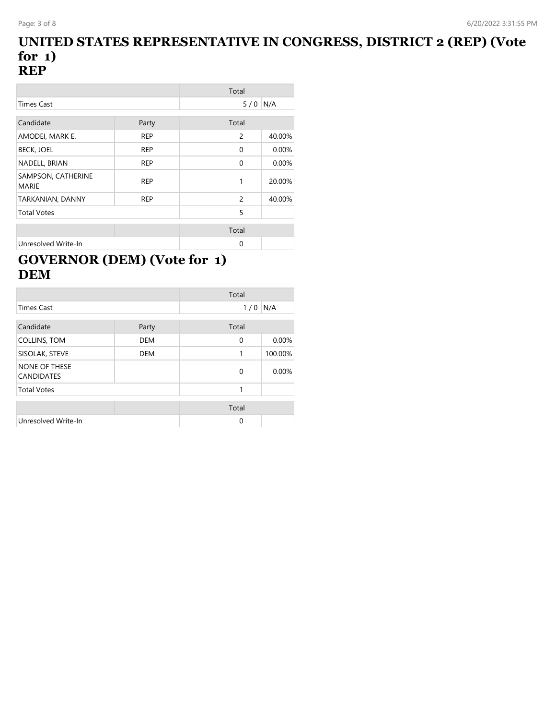#### **UNITED STATES REPRESENTATIVE IN CONGRESS, DISTRICT 2 (REP) (Vote for 1) REP**

|                                    |            | Total          |        |
|------------------------------------|------------|----------------|--------|
| <b>Times Cast</b>                  |            | 5/0            | N/A    |
|                                    |            |                |        |
| Candidate                          | Party      | Total          |        |
| AMODEI, MARK E.                    | <b>REP</b> | 2              | 40.00% |
| <b>BECK, JOEL</b>                  | <b>REP</b> | 0              | 0.00%  |
| NADELL, BRIAN                      | <b>REP</b> | $\mathbf 0$    | 0.00%  |
| SAMPSON, CATHERINE<br><b>MARIE</b> | <b>REP</b> | 1              | 20.00% |
| TARKANIAN, DANNY                   | <b>REP</b> | $\overline{c}$ | 40.00% |
| <b>Total Votes</b>                 |            | 5              |        |
|                                    |            |                |        |
|                                    |            | Total          |        |
| Unresolved Write-In                |            | 0              |        |

# **GOVERNOR (DEM) (Vote for 1) DEM**

|                                    |            | Total    |         |
|------------------------------------|------------|----------|---------|
| <b>Times Cast</b>                  |            | 1/0      | N/A     |
| Candidate                          | Party      | Total    |         |
| COLLINS, TOM                       | <b>DEM</b> | 0        | 0.00%   |
| SISOLAK, STEVE                     | <b>DEM</b> | 1        | 100.00% |
| NONE OF THESE<br><b>CANDIDATES</b> |            | 0        | 0.00%   |
| <b>Total Votes</b>                 |            | 1        |         |
|                                    |            | Total    |         |
| Unresolved Write-In                |            | $\Omega$ |         |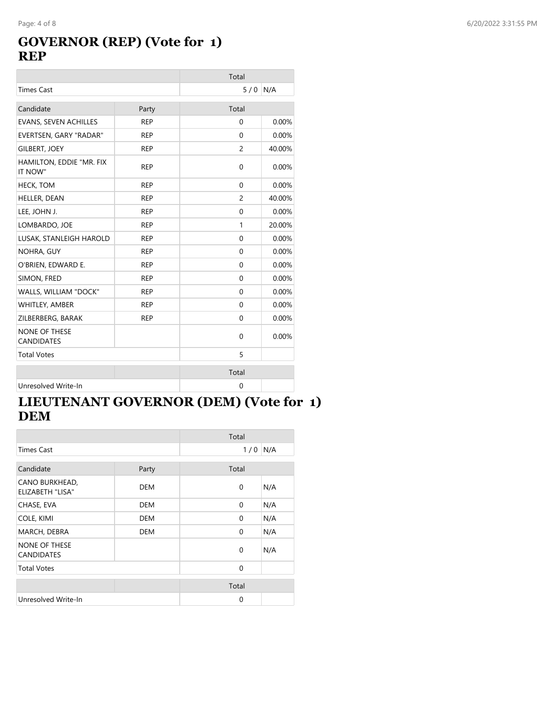# **GOVERNOR (REP) (Vote for 1) REP**

|                                           |            | Total          |        |
|-------------------------------------------|------------|----------------|--------|
| <b>Times Cast</b>                         |            | 5/0            | N/A    |
| Candidate                                 | Party      | Total          |        |
| <b>EVANS, SEVEN ACHILLES</b>              | <b>REP</b> | $\mathbf 0$    | 0.00%  |
| EVERTSEN, GARY "RADAR"                    | <b>REP</b> | $\mathbf{0}$   | 0.00%  |
| <b>GILBERT, JOEY</b>                      | <b>REP</b> | $\overline{c}$ | 40.00% |
| HAMILTON, EDDIE "MR. FIX<br>IT NOW"       | <b>REP</b> | $\mathbf 0$    | 0.00%  |
| <b>HECK, TOM</b>                          | <b>REP</b> | $\mathbf 0$    | 0.00%  |
| HELLER, DEAN                              | <b>REP</b> | $\overline{c}$ | 40.00% |
| LEE, JOHN J.                              | <b>REP</b> | $\mathbf{0}$   | 0.00%  |
| LOMBARDO, JOE                             | <b>REP</b> | 1              | 20.00% |
| LUSAK, STANLEIGH HAROLD                   | <b>REP</b> | $\Omega$       | 0.00%  |
| NOHRA, GUY                                | <b>REP</b> | 0              | 0.00%  |
| O'BRIEN, EDWARD E.                        | <b>REP</b> | $\mathbf{0}$   | 0.00%  |
| SIMON, FRED                               | <b>REP</b> | $\Omega$       | 0.00%  |
| WALLS, WILLIAM "DOCK"                     | <b>REP</b> | $\mathbf{0}$   | 0.00%  |
| WHITLEY, AMBER                            | <b>REP</b> | $\mathbf 0$    | 0.00%  |
| ZILBERBERG, BARAK                         | <b>REP</b> | $\mathbf 0$    | 0.00%  |
| <b>NONE OF THESE</b><br><b>CANDIDATES</b> |            | $\mathbf 0$    | 0.00%  |
| <b>Total Votes</b>                        |            | 5              |        |
|                                           |            | Total          |        |
| Unresolved Write-In                       |            | $\mathbf 0$    |        |

# **LIEUTENANT GOVERNOR (DEM) (Vote for 1) DEM**

|                                           |            | Total        |     |
|-------------------------------------------|------------|--------------|-----|
| Times Cast                                |            | 1/0          | N/A |
|                                           |            |              |     |
| Candidate                                 | Party      | Total        |     |
| CANO BURKHEAD,<br><b>ELIZABETH "LISA"</b> | <b>DEM</b> | 0            | N/A |
| CHASE, EVA                                | <b>DEM</b> | $\Omega$     | N/A |
| COLE, KIMI                                | <b>DEM</b> | $\Omega$     | N/A |
| MARCH, DEBRA                              | DEM        | $\Omega$     | N/A |
| <b>NONE OF THESE</b><br><b>CANDIDATES</b> |            | $\Omega$     | N/A |
| <b>Total Votes</b>                        |            | $\mathbf{0}$ |     |
|                                           |            |              |     |
|                                           |            | Total        |     |
| Unresolved Write-In                       |            | $\Omega$     |     |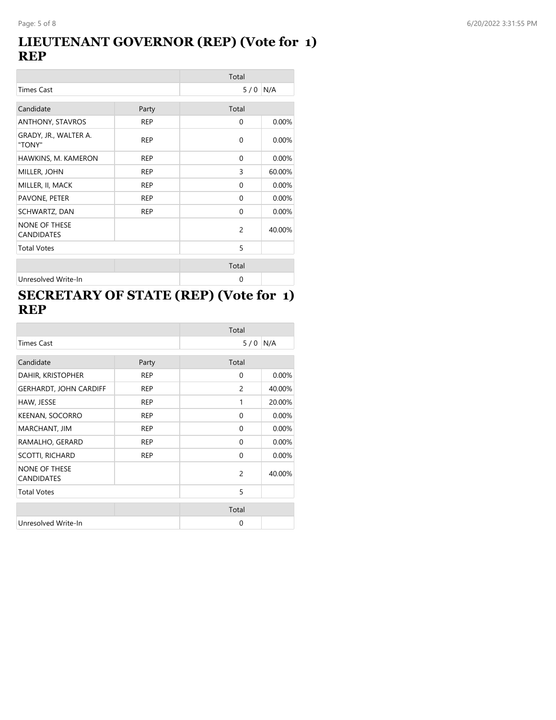#### **LIEUTENANT GOVERNOR (REP) (Vote for 1) REP**

|                                           | Total      |                |        |
|-------------------------------------------|------------|----------------|--------|
| <b>Times Cast</b>                         |            | 5/0            | N/A    |
| Candidate                                 | Party      | Total          |        |
| ANTHONY, STAVROS                          | <b>REP</b> | 0              | 0.00%  |
| GRADY, JR., WALTER A.<br>"TONY"           | <b>REP</b> | $\mathbf 0$    | 0.00%  |
| HAWKINS, M. KAMERON                       | <b>REP</b> | $\mathbf{0}$   | 0.00%  |
| MILLER, JOHN                              | <b>REP</b> | 3              | 60.00% |
| MILLER, II, MACK                          | <b>REP</b> | 0              | 0.00%  |
| PAVONE, PETER                             | <b>REP</b> | $\Omega$       | 0.00%  |
| SCHWARTZ, DAN                             | <b>REP</b> | 0              | 0.00%  |
| <b>NONE OF THESE</b><br><b>CANDIDATES</b> |            | $\overline{c}$ | 40.00% |
| <b>Total Votes</b>                        |            | 5              |        |
|                                           |            | Total          |        |
| Unresolved Write-In                       |            | $\mathbf 0$    |        |

# **SECRETARY OF STATE (REP) (Vote for 1) REP**

|                                           |            | Total     |        |
|-------------------------------------------|------------|-----------|--------|
| <b>Times Cast</b>                         |            | $5/0$ N/A |        |
| Candidate                                 | Party      | Total     |        |
| DAHIR, KRISTOPHER                         | <b>REP</b> | 0         | 0.00%  |
| <b>GERHARDT, JOHN CARDIFF</b>             | <b>REP</b> | 2         | 40.00% |
| HAW, JESSE                                | <b>REP</b> | 1         | 20.00% |
| <b>KEENAN, SOCORRO</b>                    | <b>REP</b> | 0         | 0.00%  |
| MARCHANT, JIM                             | <b>REP</b> | 0         | 0.00%  |
| RAMALHO, GERARD                           | <b>REP</b> | 0         | 0.00%  |
| <b>SCOTTI, RICHARD</b>                    | <b>REP</b> | $\Omega$  | 0.00%  |
| <b>NONE OF THESE</b><br><b>CANDIDATES</b> |            | 2         | 40.00% |
| <b>Total Votes</b>                        |            | 5         |        |
|                                           |            | Total     |        |
| Unresolved Write-In                       |            | $\Omega$  |        |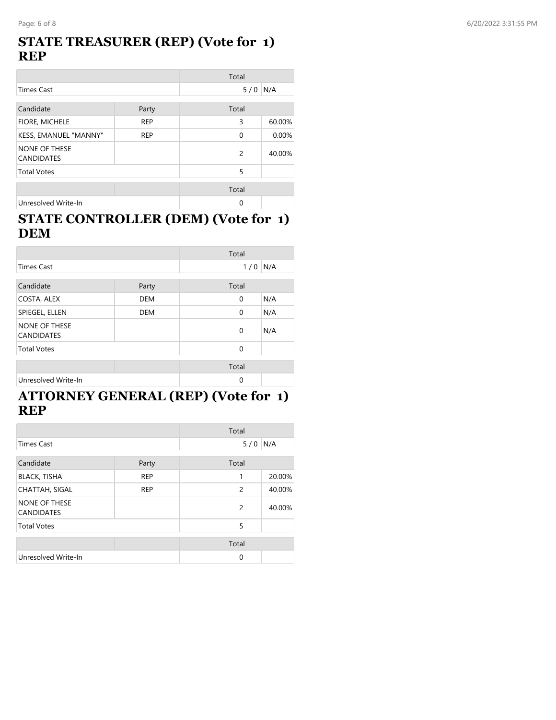#### **STATE TREASURER (REP) (Vote for 1) REP**

|                                           |            | Total         |        |
|-------------------------------------------|------------|---------------|--------|
| <b>Times Cast</b>                         |            | 5/0           | N/A    |
| Candidate                                 | Party      | Total         |        |
| FIORE, MICHELE                            | <b>REP</b> | 3             | 60.00% |
| KESS, EMANUEL "MANNY"                     | <b>REP</b> | 0             | 0.00%  |
| <b>NONE OF THESE</b><br><b>CANDIDATES</b> |            | $\mathcal{P}$ | 40.00% |
| <b>Total Votes</b>                        |            | 5             |        |
|                                           |            | Total         |        |
| Unresolved Write-In                       |            | 0             |        |

#### **STATE CONTROLLER (DEM) (Vote for 1) DEM**

|                                           |            | Total       |     |
|-------------------------------------------|------------|-------------|-----|
| <b>Times Cast</b>                         |            | 1/0         | N/A |
| Candidate                                 | Party      | Total       |     |
| COSTA, ALEX                               | <b>DEM</b> | 0           | N/A |
| SPIEGEL, ELLEN                            | <b>DEM</b> | 0           | N/A |
| <b>NONE OF THESE</b><br><b>CANDIDATES</b> |            | 0           | N/A |
| <b>Total Votes</b>                        |            | 0           |     |
|                                           |            | Total       |     |
| Unresolved Write-In                       |            | $\mathbf 0$ |     |

#### **ATTORNEY GENERAL (REP) (Vote for 1) REP**

|                                    |            | Total          |        |
|------------------------------------|------------|----------------|--------|
| <b>Times Cast</b>                  |            | 5/0            | N/A    |
| Candidate                          | Party      | Total          |        |
| <b>BLACK, TISHA</b>                | <b>REP</b> | 1              | 20.00% |
| <b>CHATTAH, SIGAL</b>              | <b>REP</b> | 2              | 40.00% |
| NONE OF THESE<br><b>CANDIDATES</b> |            | $\overline{2}$ | 40.00% |
| <b>Total Votes</b>                 |            | 5              |        |
|                                    |            | Total          |        |
| Unresolved Write-In                |            | $\mathbf 0$    |        |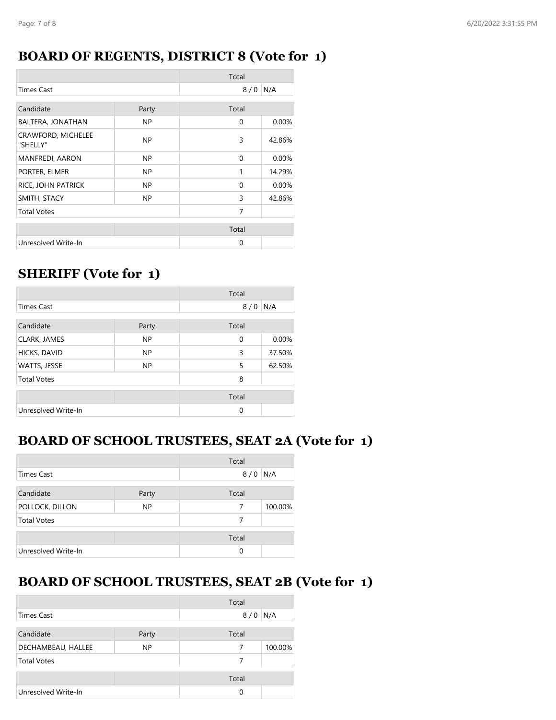### **BOARD OF REGENTS, DISTRICT 8 (Vote for 1)**

|                                |       | Total    |        |
|--------------------------------|-------|----------|--------|
| <b>Times Cast</b>              |       | 8/0      | N/A    |
| Candidate                      | Party | Total    |        |
| BALTERA, JONATHAN              | NP.   | 0        | 0.00%  |
| CRAWFORD, MICHELEE<br>"SHELLY" | NP.   | 3        | 42.86% |
| <b>MANFREDI, AARON</b>         | NP.   | $\Omega$ | 0.00%  |
| PORTER, ELMER                  | NP.   | 1        | 14.29% |
| RICE, JOHN PATRICK             | NP.   | $\Omega$ | 0.00%  |
| SMITH, STACY                   | NP.   | 3        | 42.86% |
| <b>Total Votes</b>             |       | 7        |        |
|                                |       | Total    |        |
| Unresolved Write-In            |       | 0        |        |

# **SHERIFF (Vote for 1)**

|                     |           | Total       |        |
|---------------------|-----------|-------------|--------|
| <b>Times Cast</b>   |           | 8/0         | N/A    |
| Candidate           | Party     | Total       |        |
| CLARK, JAMES        | <b>NP</b> | $\mathbf 0$ | 0.00%  |
| HICKS, DAVID        | NP        | 3           | 37.50% |
| WATTS, JESSE        | <b>NP</b> | 5           | 62.50% |
| <b>Total Votes</b>  |           | 8           |        |
|                     |           | Total       |        |
| Unresolved Write-In |           | 0           |        |

# **BOARD OF SCHOOL TRUSTEES, SEAT 2A (Vote for 1)**

|                     |       | Total      |         |
|---------------------|-------|------------|---------|
| <b>Times Cast</b>   |       | N/A<br>8/0 |         |
| Candidate           | Party | Total      |         |
| POLLOCK, DILLON     | NP    | 7          | 100.00% |
| <b>Total Votes</b>  |       | 7          |         |
|                     |       | Total      |         |
| Unresolved Write-In |       | 0          |         |

# **BOARD OF SCHOOL TRUSTEES, SEAT 2B (Vote for 1)**

|                     |           | Total |         |
|---------------------|-----------|-------|---------|
| Times Cast          |           | 8/0   | N/A     |
| Candidate           |           | Total |         |
|                     | Party     |       |         |
| DECHAMBEAU, HALLEE  | <b>NP</b> | 7     | 100.00% |
| <b>Total Votes</b>  |           | 7     |         |
|                     |           |       |         |
|                     |           | Total |         |
| Unresolved Write-In |           | 0     |         |